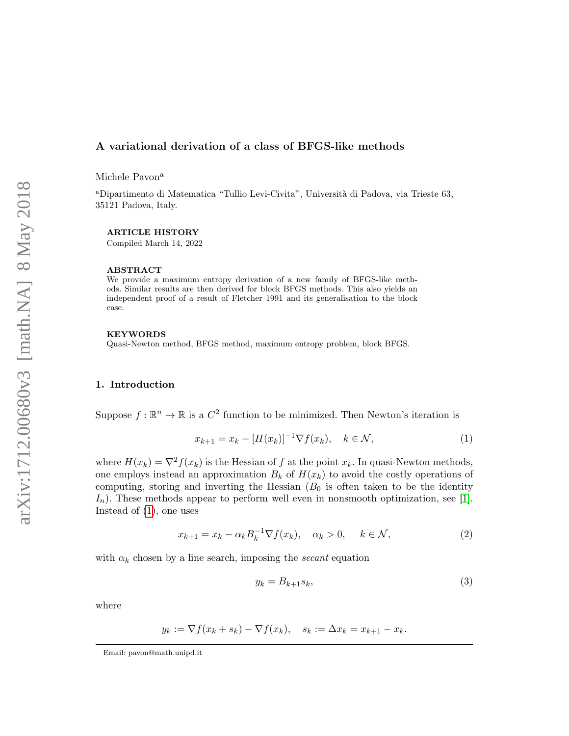# A variational derivation of a class of BFGS-like methods

Michele Pavon<sup>a</sup>

<sup>a</sup>Dipartimento di Matematica "Tullio Levi-Civita", Universit`a di Padova, via Trieste 63, 35121 Padova, Italy.

#### ARTICLE HISTORY

Compiled March 14, 2022

#### ABSTRACT

We provide a maximum entropy derivation of a new family of BFGS-like methods. Similar results are then derived for block BFGS methods. This also yields an independent proof of a result of Fletcher 1991 and its generalisation to the block case.

#### KEYWORDS

Quasi-Newton method, BFGS method, maximum entropy problem, block BFGS.

# 1. Introduction

Suppose  $f : \mathbb{R}^n \to \mathbb{R}$  is a  $C^2$  function to be minimized. Then Newton's iteration is

<span id="page-0-0"></span>
$$
x_{k+1} = x_k - [H(x_k)]^{-1} \nabla f(x_k), \quad k \in \mathcal{N},
$$
\n(1)

where  $H(x_k) = \nabla^2 f(x_k)$  is the Hessian of f at the point  $x_k$ . In quasi-Newton methods, one employs instead an approximation  $B_k$  of  $H(x_k)$  to avoid the costly operations of computing, storing and inverting the Hessian  $(B_0$  is often taken to be the identity  $I_n$ ). These methods appear to perform well even in nonsmooth optimization, see [\[1\]](#page-8-0). Instead of [\(1\)](#page-0-0), one uses

$$
x_{k+1} = x_k - \alpha_k B_k^{-1} \nabla f(x_k), \quad \alpha_k > 0, \quad k \in \mathcal{N},
$$
 (2)

with  $\alpha_k$  chosen by a line search, imposing the *secant* equation

<span id="page-0-1"></span>
$$
y_k = B_{k+1}s_k,\tag{3}
$$

where

$$
y_k := \nabla f(x_k + s_k) - \nabla f(x_k), \quad s_k := \Delta x_k = x_{k+1} - x_k.
$$

Email: pavon@math.unipd.it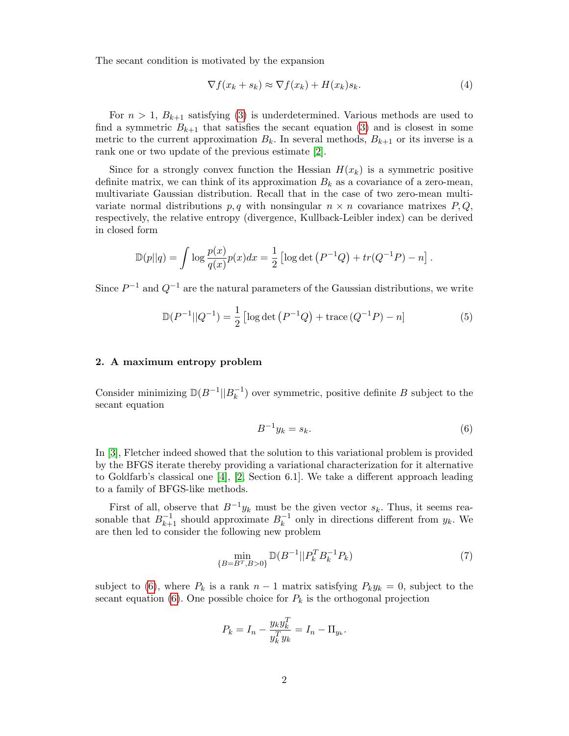The secant condition is motivated by the expansion

$$
\nabla f(x_k + s_k) \approx \nabla f(x_k) + H(x_k)s_k. \tag{4}
$$

For  $n > 1$ ,  $B_{k+1}$  satisfying [\(3\)](#page-0-1) is underdetermined. Various methods are used to find a symmetric  $B_{k+1}$  that satisfies the secant equation [\(3\)](#page-0-1) and is closest in some metric to the current approximation  $B_k$ . In several methods,  $B_{k+1}$  or its inverse is a rank one or two update of the previous estimate [\[2\]](#page-9-0).

Since for a strongly convex function the Hessian  $H(x_k)$  is a symmetric positive definite matrix, we can think of its approximation  $B_k$  as a covariance of a zero-mean, multivariate Gaussian distribution. Recall that in the case of two zero-mean multivariate normal distributions p, q with nonsingular  $n \times n$  covariance matrixes P, Q, respectively, the relative entropy (divergence, Kullback-Leibler index) can be derived in closed form

$$
\mathbb{D}(p||q) = \int \log \frac{p(x)}{q(x)} p(x) dx = \frac{1}{2} [\log \det (P^{-1}Q) + tr(Q^{-1}P) - n].
$$

Since  $P^{-1}$  and  $Q^{-1}$  are the natural parameters of the Gaussian distributions, we write

$$
\mathbb{D}(P^{-1}||Q^{-1}) = \frac{1}{2} \left[ \log \det \left( P^{-1}Q \right) + \text{trace} \left( Q^{-1}P \right) - n \right] \tag{5}
$$

## <span id="page-1-2"></span>2. A maximum entropy problem

Consider minimizing  $D(B^{-1}||B^{-1})$  $\binom{-1}{k}$  over symmetric, positive definite B subject to the secant equation

<span id="page-1-0"></span>
$$
B^{-1}y_k = s_k.\tag{6}
$$

In [\[3\]](#page-9-1), Fletcher indeed showed that the solution to this variational problem is provided by the BFGS iterate thereby providing a variational characterization for it alternative to Goldfarb's classical one [\[4\]](#page-9-2), [\[2,](#page-9-0) Section 6.1]. We take a different approach leading to a family of BFGS-like methods.

First of all, observe that  $B^{-1}y_k$  must be the given vector  $s_k$ . Thus, it seems reasonable that  $B_{k+1}^{-1}$  should approximate  $B_k^{-1}$  $k^{-1}$  only in directions different from  $y_k$ . We are then led to consider the following new problem

<span id="page-1-1"></span>
$$
\min_{\{B = B^T, B > 0\}} \mathbb{D}(B^{-1}||P_k^T B_k^{-1} P_k)
$$
\n(7)

subject to [\(6\)](#page-1-0), where  $P_k$  is a rank  $n-1$  matrix satisfying  $P_k y_k = 0$ , subject to the secant equation [\(6\)](#page-1-0). One possible choice for  $P_k$  is the orthogonal projection

$$
P_k = I_n - \frac{y_k y_k^T}{y_k^T y_k} = I_n - \Pi_{y_k}.
$$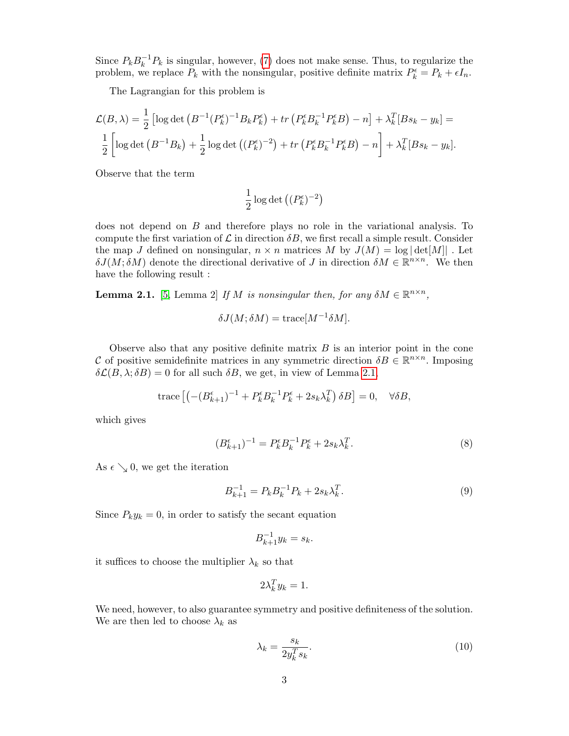Since  $P_k B_k^{-1}$  $k^{-1}P_k$  is singular, however, [\(7\)](#page-1-1) does not make sense. Thus, to regularize the problem, we replace  $P_k$  with the nonsingular, positive definite matrix  $P_k^{\epsilon} = P_k + \epsilon I_n$ .

The Lagrangian for this problem is

$$
\mathcal{L}(B,\lambda) = \frac{1}{2} \left[ \log \det \left( B^{-1} (P_k^{\epsilon})^{-1} B_k P_k^{\epsilon} \right) + tr \left( P_k^{\epsilon} B_k^{-1} P_k^{\epsilon} B \right) - n \right] + \lambda_k^T [B s_k - y_k] =
$$
  

$$
\frac{1}{2} \left[ \log \det \left( B^{-1} B_k \right) + \frac{1}{2} \log \det \left( (P_k^{\epsilon})^{-2} \right) + tr \left( P_k^{\epsilon} B_k^{-1} P_k^{\epsilon} B \right) - n \right] + \lambda_k^T [B s_k - y_k].
$$

Observe that the term

$$
\frac{1}{2}\log\det\left((P_k^\epsilon)^{-2}\right)
$$

does not depend on B and therefore plays no role in the variational analysis. To compute the first variation of  $\mathcal L$  in direction  $\delta B$ , we first recall a simple result. Consider the map J defined on nonsingular,  $n \times n$  matrices M by  $J(M) = \log |\det[M]|$ . Let  $\delta J(M, \delta M)$  denote the directional derivative of J in direction  $\delta M \in \mathbb{R}^{n \times n}$ . We then have the following result :

<span id="page-2-0"></span>**Lemma 2.1.** [\[5,](#page-9-3) Lemma 2] If M is nonsingular then, for any  $\delta M \in \mathbb{R}^{n \times n}$ ,

$$
\delta J(M; \delta M) = \text{trace}[M^{-1} \delta M].
$$

Observe also that any positive definite matrix  $B$  is an interior point in the cone C of positive semidefinite matrices in any symmetric direction  $\delta B \in \mathbb{R}^{n \times n}$ . Imposing  $\delta\mathcal{L}(B,\lambda;\delta B) = 0$  for all such  $\delta B$ , we get, in view of Lemma [2.1,](#page-2-0)

trace 
$$
\left[ \left( -(B_{k+1}^{\epsilon})^{-1} + P_k^{\epsilon} B_k^{-1} P_k^{\epsilon} + 2s_k \lambda_k^T \right) \delta B \right] = 0, \quad \forall \delta B,
$$

which gives

$$
(B_{k+1}^{\epsilon})^{-1} = P_k^{\epsilon} B_k^{-1} P_k^{\epsilon} + 2s_k \lambda_k^T.
$$
 (8)

As  $\epsilon \searrow 0$ , we get the iteration

<span id="page-2-1"></span>
$$
B_{k+1}^{-1} = P_k B_k^{-1} P_k + 2s_k \lambda_k^T.
$$
\n(9)

Since  $P_k y_k = 0$ , in order to satisfy the secant equation

$$
B_{k+1}^{-1}y_k = s_k.
$$

it suffices to choose the multiplier  $\lambda_k$  so that

$$
2\lambda_k^T y_k = 1.
$$

We need, however, to also guarantee symmetry and positive definiteness of the solution. We are then led to choose  $\lambda_k$  as

$$
\lambda_k = \frac{s_k}{2y_k^T s_k}.\tag{10}
$$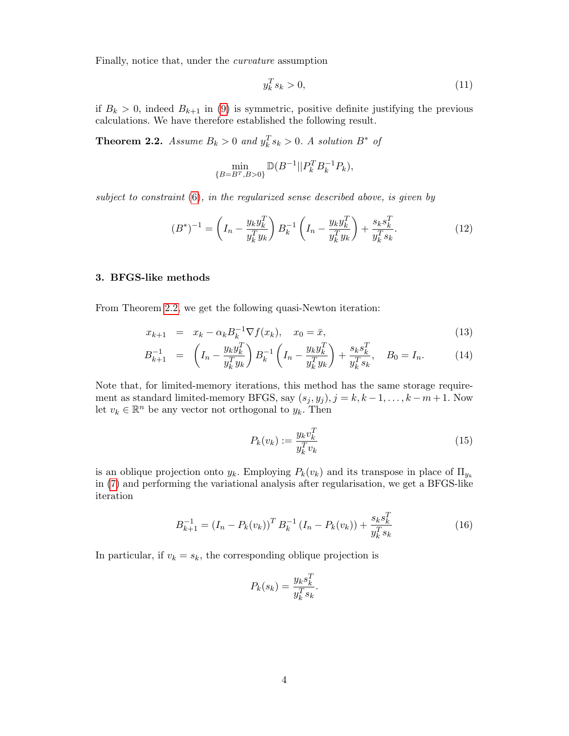Finally, notice that, under the curvature assumption

$$
y_k^T s_k > 0,\t\t(11)
$$

if  $B_k > 0$ , indeed  $B_{k+1}$  in [\(9\)](#page-2-1) is symmetric, positive definite justifying the previous calculations. We have therefore established the following result.

<span id="page-3-0"></span>**Theorem 2.2.** Assume  $B_k > 0$  and  $y_k^T s_k > 0$ . A solution  $B^*$  of

$$
\min_{\{B=B^T,B>0\}} \mathbb{D}(B^{-1}||P_k^T B_k^{-1} P_k),
$$

subject to constraint [\(6\)](#page-1-0), in the regularized sense described above, is given by

$$
(B^*)^{-1} = \left(I_n - \frac{y_k y_k^T}{y_k^T y_k}\right) B_k^{-1} \left(I_n - \frac{y_k y_k^T}{y_k^T y_k}\right) + \frac{s_k s_k^T}{y_k^T s_k}.
$$
 (12)

# <span id="page-3-3"></span>3. BFGS-like methods

From Theorem [2.2,](#page-3-0) we get the following quasi-Newton iteration:

<span id="page-3-2"></span>
$$
x_{k+1} = x_k - \alpha_k B_k^{-1} \nabla f(x_k), \quad x_0 = \bar{x}, \tag{13}
$$

$$
B_{k+1}^{-1} = \left(I_n - \frac{y_k y_k^T}{y_k^T y_k}\right) B_k^{-1} \left(I_n - \frac{y_k y_k^T}{y_k^T y_k}\right) + \frac{s_k s_k^T}{y_k^T s_k}, \quad B_0 = I_n. \tag{14}
$$

Note that, for limited-memory iterations, this method has the same storage requirement as standard limited-memory BFGS, say  $(s_j, y_j)$ ,  $j = k, k - 1, \ldots, k - m + 1$ . Now let  $v_k \in \mathbb{R}^n$  be any vector not orthogonal to  $y_k$ . Then

<span id="page-3-4"></span>
$$
P_k(v_k) := \frac{y_k v_k^T}{y_k^T v_k} \tag{15}
$$

is an oblique projection onto  $y_k$ . Employing  $P_k(v_k)$  and its transpose in place of  $\Pi_{y_k}$ in [\(7\)](#page-1-1) and performing the variational analysis after regularisation, we get a BFGS-like iteration

<span id="page-3-1"></span>
$$
B_{k+1}^{-1} = (I_n - P_k(v_k))^T B_k^{-1} (I_n - P_k(v_k)) + \frac{s_k s_k^T}{y_k^T s_k}
$$
\n(16)

In particular, if  $v_k = s_k$ , the corresponding oblique projection is

$$
P_k(s_k) = \frac{y_k s_k^T}{y_k^T s_k}.
$$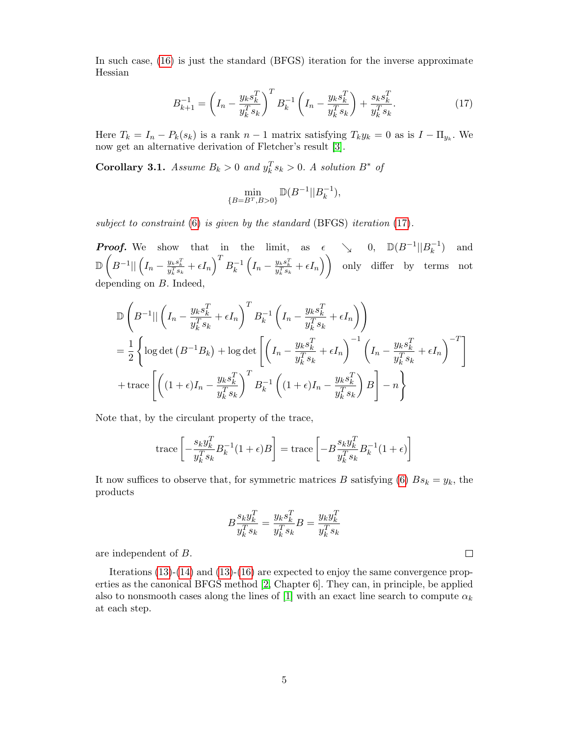In such case, [\(16\)](#page-3-1) is just the standard (BFGS) iteration for the inverse approximate Hessian

<span id="page-4-0"></span>
$$
B_{k+1}^{-1} = \left(I_n - \frac{y_k s_k^T}{y_k^T s_k}\right)^T B_k^{-1} \left(I_n - \frac{y_k s_k^T}{y_k^T s_k}\right) + \frac{s_k s_k^T}{y_k^T s_k}.
$$
 (17)

Here  $T_k = I_n - P_k(s_k)$  is a rank  $n-1$  matrix satisfying  $T_k y_k = 0$  as is  $I - \Pi_{y_k}$ . We now get an alternative derivation of Fletcher's result [\[3\]](#page-9-1).

<span id="page-4-1"></span>**Corollary 3.1.** Assume  $B_k > 0$  and  $y_k^T s_k > 0$ . A solution  $B^*$  of

$$
\min_{\{B=B^T,B>0\}}\mathbb{D}(B^{-1}||B_k^{-1}),
$$

subject to constraint [\(6\)](#page-1-0) is given by the standard (BFGS) iteration [\(17\)](#page-4-0).

**Proof.** We show that in the limit, as  $\epsilon \searrow 0$ ,  $\mathbb{D}(B^{-1}||B_{k}^{-1})$  and k  $\mathbb{D}\left(B^{-1}|\big|\left(I_n - \frac{y_k s_k^T}{y_k^Ts_k} + \epsilon I_n\right)^TB_k^{-1}\right.$  $\mathcal{L}_k^{-1}\left(I_n - \frac{y_ks_k^T}{y_k^Ts_k} + \epsilon I_n\right)\right)$  only differ by terms not depending on B. Indeed,

$$
\mathbb{D}\left(B^{-1}||\left(I_n - \frac{y_k s_k^T}{y_k^T s_k} + \epsilon I_n\right)^T B_k^{-1} \left(I_n - \frac{y_k s_k^T}{y_k^T s_k} + \epsilon I_n\right)\right)
$$
\n
$$
= \frac{1}{2} \left\{ \log \det \left(B^{-1} B_k\right) + \log \det \left[\left(I_n - \frac{y_k s_k^T}{y_k^T s_k} + \epsilon I_n\right)^{-1} \left(I_n - \frac{y_k s_k^T}{y_k^T s_k} + \epsilon I_n\right)^{-T}\right] + \text{trace}\left[\left((1+\epsilon)I_n - \frac{y_k s_k^T}{y_k^T s_k}\right)^T B_k^{-1} \left((1+\epsilon)I_n - \frac{y_k s_k^T}{y_k^T s_k}\right) B\right] - n \right\}
$$

Note that, by the circulant property of the trace,

trace 
$$
\left[ -\frac{s_k y_k^T}{y_k^T s_k} B_k^{-1} (1 + \epsilon) B \right]
$$
 = trace  $\left[ -B \frac{s_k y_k^T}{y_k^T s_k} B_k^{-1} (1 + \epsilon) \right]$ 

It now suffices to observe that, for symmetric matrices B satisfying [\(6\)](#page-1-0)  $Bs_k = y_k$ , the products

$$
B\frac{s_k y_k^T}{y_k^Ts_k} = \frac{y_ks_k^T}{y_k^Ts_k}B = \frac{y_k y_k^T}{y_k^Ts_k}
$$

 $\Box$ 

are independent of B.

Iterations [\(13\)](#page-3-2)-[\(14\)](#page-3-2) and [\(13\)](#page-3-2)-[\(16\)](#page-3-1) are expected to enjoy the same convergence properties as the canonical BFGS method [\[2,](#page-9-0) Chapter 6]. They can, in principle, be applied also to nonsmooth cases along the lines of [\[1\]](#page-8-0) with an exact line search to compute  $\alpha_k$ at each step.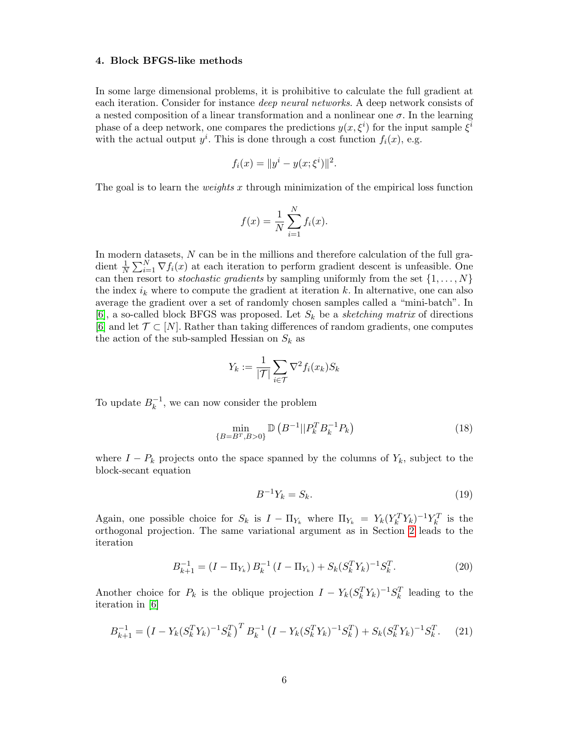## 4. Block BFGS-like methods

In some large dimensional problems, it is prohibitive to calculate the full gradient at each iteration. Consider for instance deep neural networks. A deep network consists of a nested composition of a linear transformation and a nonlinear one  $\sigma$ . In the learning phase of a deep network, one compares the predictions  $y(x, \xi^i)$  for the input sample  $\xi^i$ with the actual output  $y^i$ . This is done through a cost function  $f_i(x)$ , e.g.

$$
f_i(x) = ||y^i - y(x; \xi^i)||^2.
$$

The goal is to learn the *weights* x through minimization of the empirical loss function

$$
f(x) = \frac{1}{N} \sum_{i=1}^{N} f_i(x).
$$

In modern datasets,  $N$  can be in the millions and therefore calculation of the full gradient  $\frac{1}{N} \sum_{i=1}^{N} \nabla f_i(x)$  at each iteration to perform gradient descent is unfeasible. One can then resort to *stochastic gradients* by sampling uniformly from the set  $\{1, \ldots, N\}$ the index  $i_k$  where to compute the gradient at iteration k. In alternative, one can also average the gradient over a set of randomly chosen samples called a "mini-batch". In [\[6\]](#page-9-4), a so-called block BFGS was proposed. Let  $S_k$  be a sketching matrix of directions [\[6\]](#page-9-4) and let  $\mathcal{T} \subset [N]$ . Rather than taking differences of random gradients, one computes the action of the sub-sampled Hessian on  $S_k$  as

$$
Y_k := \frac{1}{|\mathcal{T}|} \sum_{i \in \mathcal{T}} \nabla^2 f_i(x_k) S_k
$$

To update  $B_k^{-1}$  $\kappa^{-1}$ , we can now consider the problem

$$
\min_{\{B=B^T,B>0\}} \mathbb{D}\left(B^{-1}||P_k^T B_k^{-1} P_k\right) \tag{18}
$$

where  $I - P_k$  projects onto the space spanned by the columns of  $Y_k$ , subject to the block-secant equation

<span id="page-5-1"></span>
$$
B^{-1}Y_k = S_k. \tag{19}
$$

Again, one possible choice for  $S_k$  is  $I - \Pi_{Y_k}$  where  $\Pi_{Y_k} = Y_k (Y_k^T Y_k)^{-1} Y_k^T$  is the orthogonal projection. The same variational argument as in Section [2](#page-1-2) leads to the iteration

$$
B_{k+1}^{-1} = (I - \Pi_{Y_k}) B_k^{-1} (I - \Pi_{Y_k}) + S_k (S_k^T Y_k)^{-1} S_k^T.
$$
 (20)

Another choice for  $P_k$  is the oblique projection  $I - Y_k (S_k^T Y_k)^{-1} S_k^T$  leading to the iteration in [\[6\]](#page-9-4)

<span id="page-5-0"></span>
$$
B_{k+1}^{-1} = \left(I - Y_k (S_k^T Y_k)^{-1} S_k^T\right)^T B_k^{-1} \left(I - Y_k (S_k^T Y_k)^{-1} S_k^T\right) + S_k (S_k^T Y_k)^{-1} S_k^T. \tag{21}
$$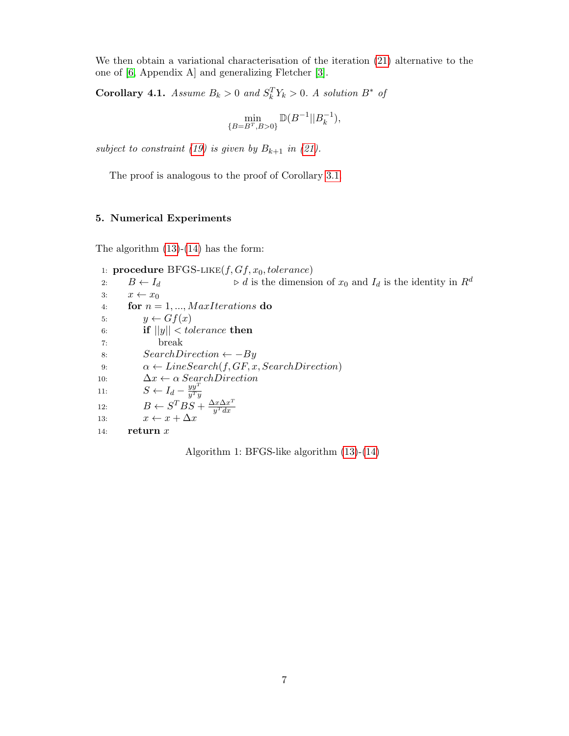We then obtain a variational characterisation of the iteration [\(21\)](#page-5-0) alternative to the one of [\[6,](#page-9-4) Appendix A] and generalizing Fletcher [\[3\]](#page-9-1).

**Corollary 4.1.** Assume  $B_k > 0$  and  $S_k^T Y_k > 0$ . A solution  $B^*$  of

$$
\min_{\{B=B^T,B>0\}} \mathbb{D}(B^{-1}||B_k^{-1}),
$$

subject to constraint [\(19\)](#page-5-1) is given by  $B_{k+1}$  in [\(21\)](#page-5-0).

The proof is analogous to the proof of Corollary [3.1.](#page-4-1)

# <span id="page-6-0"></span>5. Numerical Experiments

The algorithm  $(13)-(14)$  $(13)-(14)$  $(13)-(14)$  has the form:

1: **procedure**  $BFGS-LIKE(f, Gf, x_0, tolerance)$ 2:  $B \leftarrow I_d$   $\triangleright d$  is the dimension of  $x_0$  and  $I_d$  is the identity in  $R^d$ 3:  $x \leftarrow x_0$ 4: for  $n = 1, ..., MaxIterations$  do 5:  $y \leftarrow Gf(x)$ 6: if  $||y|| <$  tolerance then 7: break 8:  $SearchDirection \leftarrow -By$ 9:  $\alpha \leftarrow LineSearch(f, GF, x, SearchDirection)$ 10:  $\Delta x \leftarrow \alpha$  SearchDirection 11:  $S \leftarrow I_d - \frac{yy^T}{y^T}$  $y^Ty$ 12:  $B \leftarrow S^{T}BS + \frac{\Delta x \Delta x^{T}}{y^{T}dx}$  $y^T dx$ 13:  $x \leftarrow x + \Delta x$ 14: return  $x$ 

Algorithm 1: BFGS-like algorithm [\(13\)](#page-3-2)-[\(14\)](#page-3-2)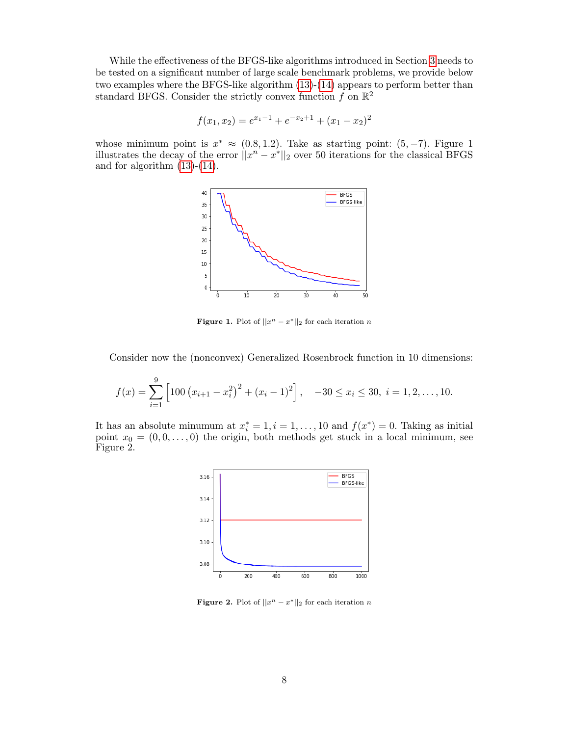While the effectiveness of the BFGS-like algorithms introduced in Section [3](#page-3-3) needs to be tested on a significant number of large scale benchmark problems, we provide below two examples where the BFGS-like algorithm [\(13\)](#page-3-2)-[\(14\)](#page-3-2) appears to perform better than standard BFGS. Consider the strictly convex function  $f$  on  $\mathbb{R}^2$ 

$$
f(x_1, x_2) = e^{x_1 - 1} + e^{-x_2 + 1} + (x_1 - x_2)^2
$$

whose minimum point is  $x^* \approx (0.8, 1.2)$ . Take as starting point:  $(5, -7)$ . Figure 1 illustrates the decay of the error  $||x^n - x^*||_2$  over 50 iterations for the classical BFGS and for algorithm  $(13)-(14)$  $(13)-(14)$  $(13)-(14)$ .



**Figure 1.** Plot of  $||x^n - x^*||_2$  for each iteration n

Consider now the (nonconvex) Generalized Rosenbrock function in 10 dimensions:

$$
f(x) = \sum_{i=1}^{9} \left[ 100 \left( x_{i+1} - x_i^2 \right)^2 + (x_i - 1)^2 \right], \quad -30 \le x_i \le 30, \ i = 1, 2, \dots, 10.
$$

It has an absolute minumum at  $x_i^* = 1, i = 1, ..., 10$  and  $f(x^*) = 0$ . Taking as initial point  $x_0 = (0, 0, \ldots, 0)$  the origin, both methods get stuck in a local minimum, see Figure 2.



**Figure 2.** Plot of  $||x^n - x^*||_2$  for each iteration n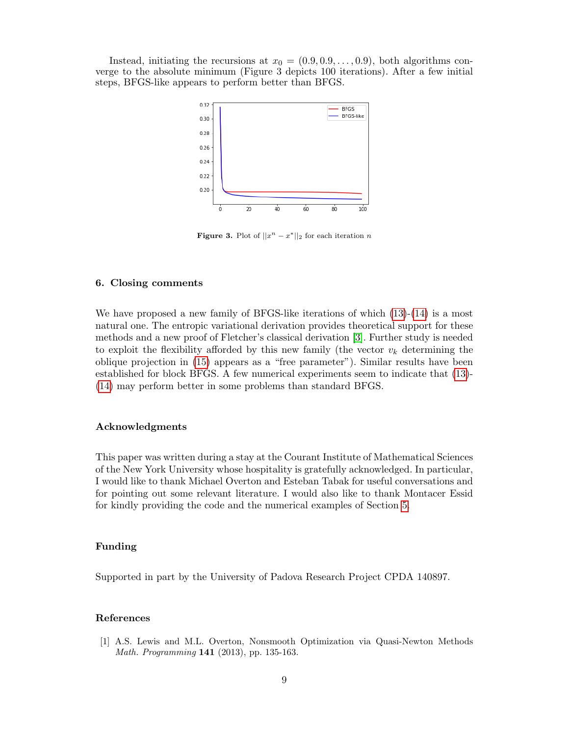Instead, initiating the recursions at  $x_0 = (0.9, 0.9, \ldots, 0.9)$ , both algorithms converge to the absolute minimum (Figure 3 depicts 100 iterations). After a few initial steps, BFGS-like appears to perform better than BFGS.



**Figure 3.** Plot of  $||x^n - x^*||_2$  for each iteration n

# 6. Closing comments

We have proposed a new family of BFGS-like iterations of which  $(13)-(14)$  $(13)-(14)$  $(13)-(14)$  is a most natural one. The entropic variational derivation provides theoretical support for these methods and a new proof of Fletcher's classical derivation [\[3\]](#page-9-1). Further study is needed to exploit the flexibility afforded by this new family (the vector  $v_k$  determining the oblique projection in [\(15\)](#page-3-4) appears as a "free parameter"). Similar results have been established for block BFGS. A few numerical experiments seem to indicate that [\(13\)](#page-3-2)- [\(14\)](#page-3-2) may perform better in some problems than standard BFGS.

# Acknowledgments

This paper was written during a stay at the Courant Institute of Mathematical Sciences of the New York University whose hospitality is gratefully acknowledged. In particular, I would like to thank Michael Overton and Esteban Tabak for useful conversations and for pointing out some relevant literature. I would also like to thank Montacer Essid for kindly providing the code and the numerical examples of Section [5.](#page-6-0)

## Funding

Supported in part by the University of Padova Research Project CPDA 140897.

## References

<span id="page-8-0"></span>[1] A.S. Lewis and M.L. Overton, Nonsmooth Optimization via Quasi-Newton Methods Math. Programming 141 (2013), pp. 135-163.